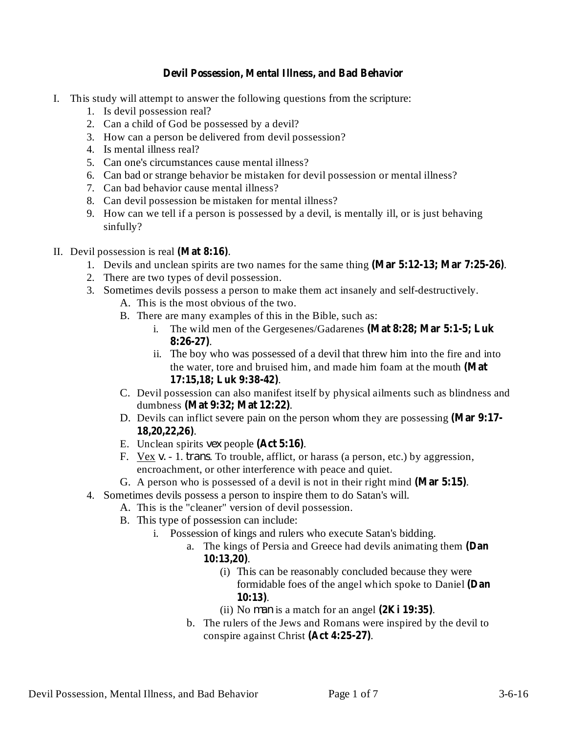## **Devil Possession, Mental Illness, and Bad Behavior**

- I. This study will attempt to answer the following questions from the scripture:
	- 1. Is devil possession real?
	- 2. Can a child of God be possessed by a devil?
	- 3. How can a person be delivered from devil possession?
	- 4. Is mental illness real?
	- 5. Can one's circumstances cause mental illness?
	- 6. Can bad or strange behavior be mistaken for devil possession or mental illness?
	- 7. Can bad behavior cause mental illness?
	- 8. Can devil possession be mistaken for mental illness?
	- 9. How can we tell if a person is possessed by a devil, is mentally ill, or is just behaving sinfully?
- II. Devil possession is real (Mat 8:16).
	- 1. Devils and unclean spirits are two names for the same thing (Mar 5:12-13; Mar 7:25-26).
	- 2. There are two types of devil possession.
	- 3. Sometimes devils possess a person to make them act insanely and self-destructively.
		- A. This is the most obvious of the two.
		- B. There are many examples of this in the Bible, such as:
			- i. The wild men of the Gergesenes/Gadarenes **(Mat 8:28; Mar 5:1-5; Luk** . **8:26-27)**
			- ii. The boy who was possessed of a devil that threw him into the fire and into the water, tore and bruised him, and made him foam at the mouth **(Mat** . **17:15,18; Luk 9:38-42)**
		- C. Devil possession can also manifest itself by physical ailments such as blindness and dumbness . **(Mat 9:32; Mat 12:22)**
		- D. Devils can inflict severe pain on the person whom they are possessing **(Mar 9:17-** . **18,20,22,26)**
		- E. Unclean spirits vex people  $(Act 5:16)$ .
		- F. Vex v. 1. *trans*. To trouble, afflict, or harass (a person, etc.) by aggression, encroachment, or other interference with peace and quiet.
		- G. A person who is possessed of a devil is not in their right mind  $(Mar 5:15)$ .
	- 4. Sometimes devils possess a person to inspire them to do Satan's will.
		- A. This is the "cleaner" version of devil possession.
		- B. This type of possession can include:
			- i. Possession of kings and rulers who execute Satan's bidding.
				- a. The kings of Persia and Greece had devils animating them **(Dan** . **10:13,20)**
					- (i) This can be reasonably concluded because they were formidable foes of the angel which spoke to Daniel **(Dan** . **10:13)**
					- (ii) No *man* is a match for an angel  $(2\text{Ki } 19:35)$ .
				- b. The rulers of the Jews and Romans were inspired by the devil to conspire against Christ (Act 4:25-27).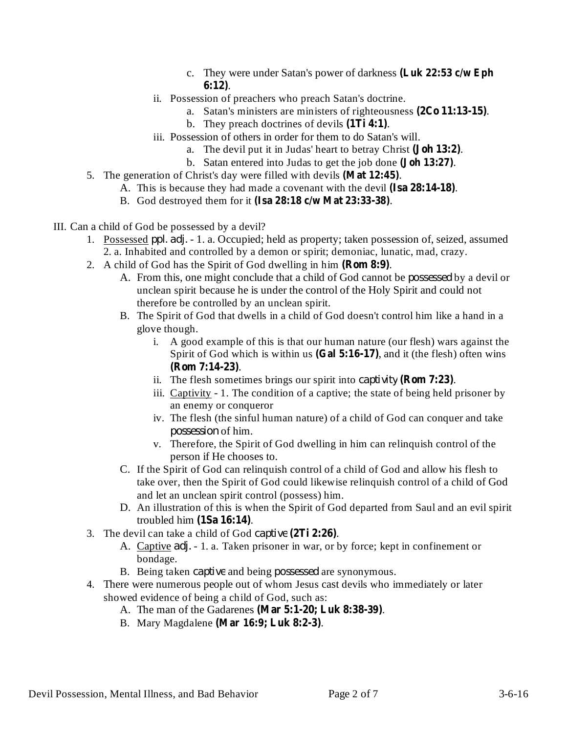- c. They were under Satan's power of darkness **(Luk 22:53 c/w Eph** . **6:12)**
- ii. Possession of preachers who preach Satan's doctrine.
	- a. Satan's ministers are ministers of righteousness (2Co 11:13-15).
	- b. They preach doctrines of devils  $(1Ti 4:1)$ .
- iii. Possession of others in order for them to do Satan's will.
	- a. The devil put it in Judas' heart to betray Christ (**Joh 13:2**).
	- b. Satan entered into Judas to get the job done (**Joh 13:27**).
- 5. The generation of Christ's day were filled with devils (Mat 12:45).
	- A. This is because they had made a covenant with the devil (Isa 28:14-18).
	- B. God destroyed them for it . **(Isa 28:18 c/w Mat 23:33-38)**
- III. Can a child of God be possessed by a devil?
	- 1. Possessed ppl. adj. 1. a. Occupied; held as property; taken possession of, seized, assumed 2. a. Inhabited and controlled by a demon or spirit; demoniac, lunatic, mad, crazy.
	- 2. A child of God has the Spirit of God dwelling in him (**Rom 8:9**).
		- A. From this, one might conclude that a child of God cannot be *possessed* by a devil or unclean spirit because he is under the control of the Holy Spirit and could not therefore be controlled by an unclean spirit.
		- B. The Spirit of God that dwells in a child of God doesn't control him like a hand in a glove though.
			- i. A good example of this is that our human nature (our flesh) wars against the Spirit of God which is within us (Gal 5:16-17), and it (the flesh) often wins . **(Rom 7:14-23)**
			- ii. The flesh sometimes brings our spirit into *captivity* (**Rom 7:23**).
			- iii. Captivity 1. The condition of a captive; the state of being held prisoner by an enemy or conqueror
			- iv. The flesh (the sinful human nature) of a child of God can conquer and take possession of him.
			- v. Therefore, the Spirit of God dwelling in him can relinquish control of the person if He chooses to.
		- C. If the Spirit of God can relinquish control of a child of God and allow his flesh to take over, then the Spirit of God could likewise relinquish control of a child of God and let an unclean spirit control (possess) him.
		- D. An illustration of this is when the Spirit of God departed from Saul and an evil spirit troubled him (1Sa 16:14).
	- 3. The devil can take a child of God *captive* (2Ti 2:26).
		- A. Captive *adj.* 1. a. Taken prisoner in war, or by force; kept in confinement or bondage.
		- B. Being taken *captive* and being *possessed* are synonymous.
	- 4. There were numerous people out of whom Jesus cast devils who immediately or later showed evidence of being a child of God, such as:
		- A. The man of the Gadarenes (Mar 5:1-20; Luk 8:38-39).
		- B. Mary Magdalene . **(Mar 16:9; Luk 8:2-3)**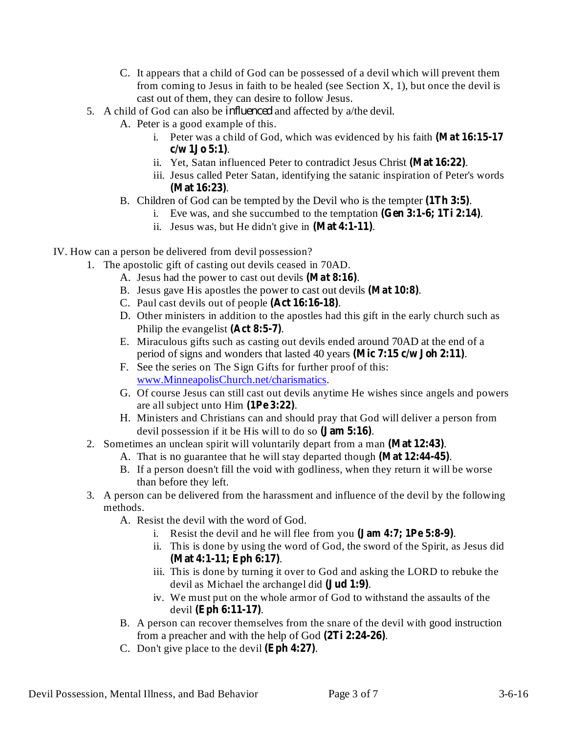- C. It appears that a child of God can be possessed of a devil which will prevent them from coming to Jesus in faith to be healed (see Section  $X$ , 1), but once the devil is cast out of them, they can desire to follow Jesus.
- 5. A child of God can also be *influenced* and affected by a/the devil.
	- A. Peter is a good example of this.
		- i. Peter was a child of God, which was evidenced by his faith **(Mat 16:15-17** . **c/w 1Jo 5:1)**
		- ii. Yet, Satan influenced Peter to contradict Jesus Christ (Mat 16:22).
		- iii. Jesus called Peter Satan, identifying the satanic inspiration of Peter's words . **(Mat 16:23)**
	- B. Children of God can be tempted by the Devil who is the tempter (1Th 3:5).
		- i. Eve was, and she succumbed to the temptation (Gen 3:1-6; 1Ti 2:14).
		- ii. Jesus was, but He didn't give in  $(Mat 4:1-11)$ .
- IV. How can a person be delivered from devil possession?
	- 1. The apostolic gift of casting out devils ceased in 70AD.
		- A. Jesus had the power to cast out devils (Mat 8:16).
		- B. Jesus gave His apostles the power to cast out devils (Mat 10:8).
		- C. Paul cast devils out of people (Act 16:16-18).
		- D. Other ministers in addition to the apostles had this gift in the early church such as Philip the evangelist (Act 8:5-7).
		- E. Miraculous gifts such as casting out devils ended around 70AD at the end of a period of signs and wonders that lasted 40 years (Mic 7:15 c/w Joh 2:11).
		- F. See the series on The Sign Gifts for further proof of this: www.MinneapolisChurch.net/charismatics.
		- G. Of course Jesus can still cast out devils anytime He wishes since angels and powers are all subject unto Him (1Pe 3:22).
		- H. Ministers and Christians can and should pray that God will deliver a person from devil possession if it be His will to do so (**Jam 5:16**).
	- 2. Sometimes an unclean spirit will voluntarily depart from a man (Mat 12:43).
		- A. That is no guarantee that he will stay departed though (Mat 12:44-45).
		- B. If a person doesn't fill the void with godliness, when they return it will be worse than before they left.
	- 3. A person can be delivered from the harassment and influence of the devil by the following methods.
		- A. Resist the devil with the word of God.
			- i. Resist the devil and he will flee from you (**Jam 4:7; 1Pe 5:8-9**).
			- ii. This is done by using the word of God, the sword of the Spirit, as Jesus did . **(Mat 4:1-11; Eph 6:17)**
			- iii. This is done by turning it over to God and asking the LORD to rebuke the devil as Michael the archangel did (**Jud 1:9**).
			- iv. We must put on the whole armor of God to withstand the assaults of the devil (Eph 6:11-17).
		- B. A person can recover themselves from the snare of the devil with good instruction from a preacher and with the help of God  $(2Ti 2:24-26)$ .
		- C. Don't give place to the devil  $(Eph 4:27)$ .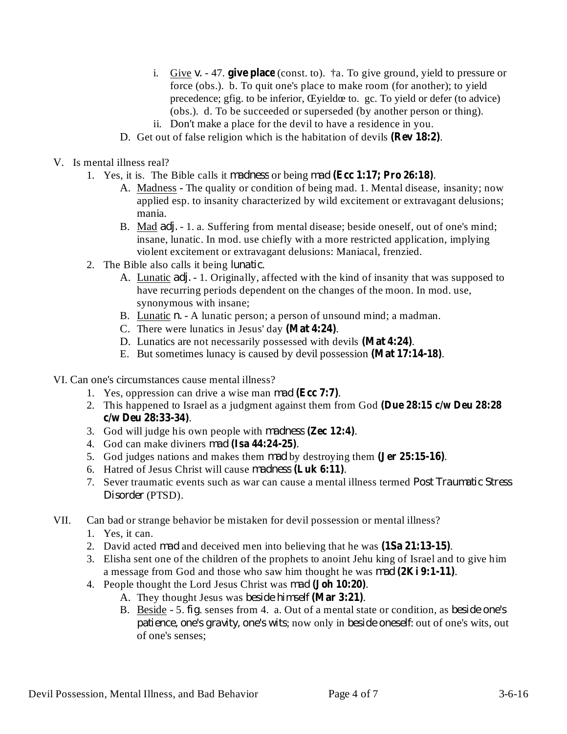- i. Give  $v. -47$ . give place (const. to).  $\dagger$ a. To give ground, yield to pressure or force (obs.). b. To quit one's place to make room (for another); to yield precedence; gfig. to be inferior, Œyieldœ to. gc. To yield or defer (to advice) (obs.). d. To be succeeded or superseded (by another person or thing).
- ii. Don't make a place for the devil to have a residence in you.
- D. Get out of false religion which is the habitation of devils (Rev 18:2).
- V. Is mental illness real?
	- 1. Yes, it is. The Bible calls it *madness* or being *mad* (Ecc 1:17; Pro 26:18).
		- A. Madness The quality or condition of being mad. 1. Mental disease, insanity; now applied esp. to insanity characterized by wild excitement or extravagant delusions; mania.
		- B. Mad *adj.* 1. a. Suffering from mental disease; beside oneself, out of one's mind; insane, lunatic. In mod. use chiefly with a more restricted application, implying violent excitement or extravagant delusions: Maniacal, frenzied.
	- 2. The Bible also calls it being *lunatic*.
		- A. Lunatic *adj.* 1. Originally, affected with the kind of insanity that was supposed to have recurring periods dependent on the changes of the moon. In mod. use, synonymous with insane;
		- B. Lunatic *n.* A lunatic person; a person of unsound mind; a madman.
		- C. There were lunatics in Jesus' day (Mat 4:24).
		- D. Lunatics are not necessarily possessed with devils (Mat 4:24).
		- E. But sometimes lunacy is caused by devil possession (Mat 17:14-18).
- VI. Can one's circumstances cause mental illness?
	- 1. Yes, oppression can drive a wise man *mad* (Ecc 7:7).
	- 2. This happened to Israel as a judgment against them from God **(Due 28:15 c/w Deu 28:28** . **c/w Deu 28:33-34)**
	- 3. God will judge his own people with *madness* (**Zec 12:4**).
	- 4. God can make diviners . *mad* **(Isa 44:24-25)**
	- 5. God judges nations and makes them mad by destroying them (Jer 25:15-16).
	- 6. Hatred of Jesus Christ will cause madness (Luk 6:11).
	- 7. Sever traumatic events such as war can cause a mental illness termed *Post Traumatic Stress* (PTSD). *Disorder*
- VII. Can bad or strange behavior be mistaken for devil possession or mental illness?
	- 1. Yes, it can.
	- 2. David acted *mad* and deceived men into believing that he was  $(1Sa 21:13-15)$ .
	- 3. Elisha sent one of the children of the prophets to anoint Jehu king of Israel and to give him a message from God and those who saw him thought he was *mad* (2Ki 9:1-11).
	- 4. People thought the Lord Jesus Christ was *mad* (Joh 10:20).
		- A. They thought Jesus was *beside himself* (Mar 3:21).
		- B. Beside 5. *fig.* senses from 4. a. Out of a mental state or condition, as *beside one's patience, one's gravity, one's wits; now only in <i>beside oneself:* out of one's wits, out of one's senses;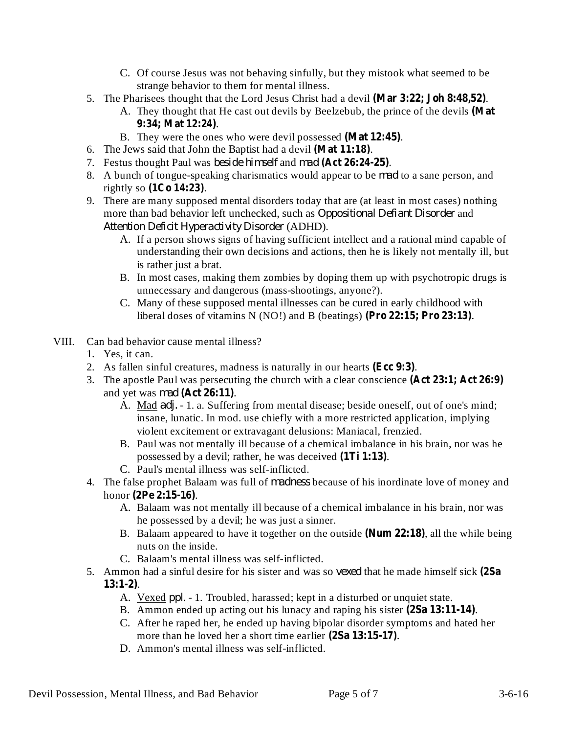- C. Of course Jesus was not behaving sinfully, but they mistook what seemed to be strange behavior to them for mental illness.
- 5. The Pharisees thought that the Lord Jesus Christ had a devil (Mar 3:22; Joh 8:48,52).
	- A. They thought that He cast out devils by Beelzebub, the prince of the devils **(Mat** . **9:34; Mat 12:24)**
	- B. They were the ones who were devil possessed (Mat 12:45).
- 6. The Jews said that John the Baptist had a devil (Mat 11:18).
- 7. Festus thought Paul was *beside himself* and *mad* (Act 26:24-25).
- 8. A bunch of tongue-speaking charismatics would appear to be *mad* to a sane person, and  $rightly so (1Co 14:23).$
- 9. There are many supposed mental disorders today that are (at least in most cases) nothing more than bad behavior left unchecked, such as *Oppositional Defiant Disorder* and (ADHD). *Attention Deficit Hyperactivity Disorder*
	- A. If a person shows signs of having sufficient intellect and a rational mind capable of understanding their own decisions and actions, then he is likely not mentally ill, but is rather just a brat.
	- B. In most cases, making them zombies by doping them up with psychotropic drugs is unnecessary and dangerous (mass-shootings, anyone?).
	- C. Many of these supposed mental illnesses can be cured in early childhood with liberal doses of vitamins N (NO!) and B (beatings) (Pro 22:15; Pro 23:13).
- VIII. Can bad behavior cause mental illness?
	- 1. Yes, it can.
	- 2. As fallen sinful creatures, madness is naturally in our hearts (Ecc 9:3).
	- 3. The apostle Paul was persecuting the church with a clear conscience **(Act 23:1; Act 26:9)** and yet was *mad* (Act 26:11).
		- A. Mad *adj.* 1. a. Suffering from mental disease; beside oneself, out of one's mind; insane, lunatic. In mod. use chiefly with a more restricted application, implying violent excitement or extravagant delusions: Maniacal, frenzied.
		- B. Paul was not mentally ill because of a chemical imbalance in his brain, nor was he possessed by a devil; rather, he was deceived (1Ti 1:13).
		- C. Paul's mental illness was self-inflicted.
	- 4. The false prophet Balaam was full of *madness* because of his inordinate love of money and honor . **(2Pe 2:15-16)**
		- A. Balaam was not mentally ill because of a chemical imbalance in his brain, nor was he possessed by a devil; he was just a sinner.
		- B. Balaam appeared to have it together on the outside (Num 22:18), all the while being nuts on the inside.
		- C. Balaam's mental illness was self-inflicted.
	- 5. Ammon had a sinful desire for his sister and was so vexed that he made himself sick (2Sa . **13:1-2)**
		- A. Vexed *ppl.* 1. Troubled, harassed; kept in a disturbed or unquiet state.
		- B. Ammon ended up acting out his lunacy and raping his sister (2Sa 13:11-14).
		- C. After he raped her, he ended up having bipolar disorder symptoms and hated her more than he loved her a short time earlier  $(2Sa 13:15-17)$ .
		- D. Ammon's mental illness was self-inflicted.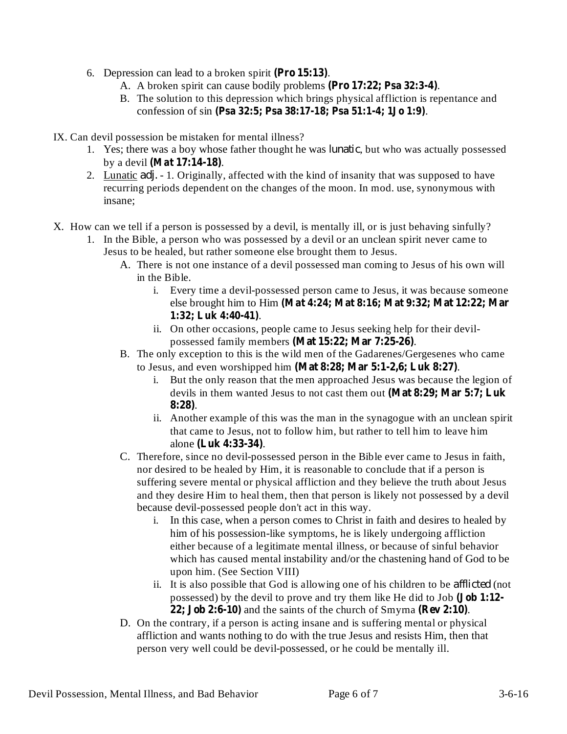- 6. Depression can lead to a broken spirit (Pro 15:13).
	- A. A broken spirit can cause bodily problems (Pro 17:22; Psa 32:3-4).
	- B. The solution to this depression which brings physical affliction is repentance and confession of sin . **(Psa 32:5; Psa 38:17-18; Psa 51:1-4; 1Jo 1:9)**

IX. Can devil possession be mistaken for mental illness?

- 1. Yes; there was a boy whose father thought he was *lunatic*, but who was actually possessed by a devil . **(Mat 17:14-18)**
- 2. Lunatic *adj.* 1. Originally, affected with the kind of insanity that was supposed to have recurring periods dependent on the changes of the moon. In mod. use, synonymous with insane;
- X. How can we tell if a person is possessed by a devil, is mentally ill, or is just behaving sinfully?
	- 1. In the Bible, a person who was possessed by a devil or an unclean spirit never came to Jesus to be healed, but rather someone else brought them to Jesus.
		- A. There is not one instance of a devil possessed man coming to Jesus of his own will in the Bible.
			- i. Every time a devil-possessed person came to Jesus, it was because someone else brought him to Him **(Mat 4:24; Mat 8:16; Mat 9:32; Mat 12:22; Mar** . **1:32; Luk 4:40-41)**
			- ii. On other occasions, people came to Jesus seeking help for their devilpossessed family members (Mat 15:22; Mar 7:25-26).
		- B. The only exception to this is the wild men of the Gadarenes/Gergesenes who came to Jesus, and even worshipped him (Mat 8:28; Mar 5:1-2,6; Luk 8:27).
			- i. But the only reason that the men approached Jesus was because the legion of devils in them wanted Jesus to not cast them out **(Mat 8:29; Mar 5:7; Luk** . **8:28)**
			- ii. Another example of this was the man in the synagogue with an unclean spirit that came to Jesus, not to follow him, but rather to tell him to leave him alone (Luk 4:33-34).
		- C. Therefore, since no devil-possessed person in the Bible ever came to Jesus in faith, nor desired to be healed by Him, it is reasonable to conclude that if a person is suffering severe mental or physical affliction and they believe the truth about Jesus and they desire Him to heal them, then that person is likely not possessed by a devil because devil-possessed people don't act in this way.
			- i. In this case, when a person comes to Christ in faith and desires to healed by him of his possession-like symptoms, he is likely undergoing affliction either because of a legitimate mental illness, or because of sinful behavior which has caused mental instability and/or the chastening hand of God to be upon him. (See Section VIII)
			- ii. It is also possible that God is allowing one of his children to be *afflicted* (not possessed) by the devil to prove and try them like He did to Job **(Job 1:12-**  $22$ ; **Job**  $2:6-10$ ) and the saints of the church of Smyrna (Rev  $2:10$ ).
		- D. On the contrary, if a person is acting insane and is suffering mental or physical affliction and wants nothing to do with the true Jesus and resists Him, then that person very well could be devil-possessed, or he could be mentally ill.